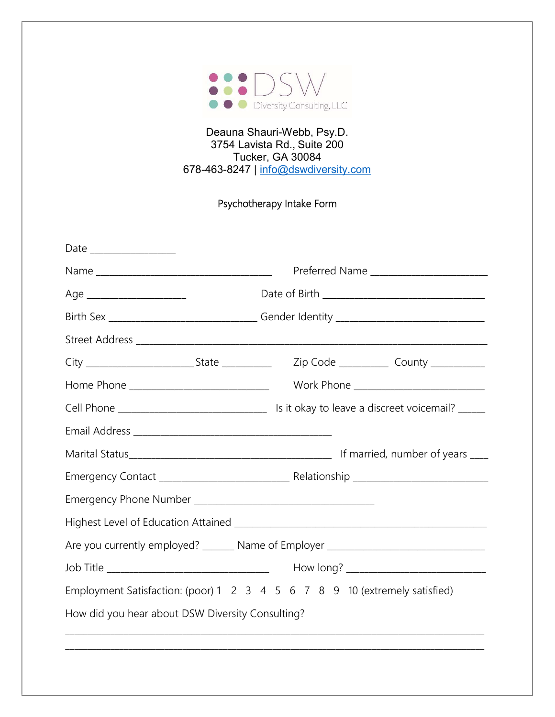

## Deauna Shauri-Webb, Psy.D. 3754 Lavista Rd., Suite 200 Tucker, GA 30084 678-463-8247 | info@dswdiversity.com

## Psychotherapy Intake Form

|                                                  | Preferred Name _________________________                                         |  |  |  |  |
|--------------------------------------------------|----------------------------------------------------------------------------------|--|--|--|--|
| Age __________________________                   |                                                                                  |  |  |  |  |
|                                                  | Birth Sex ________________________________Gender Identity ______________________ |  |  |  |  |
|                                                  |                                                                                  |  |  |  |  |
|                                                  | Zip Code ______________ County ____________                                      |  |  |  |  |
| Home Phone _______________________________       | Work Phone _____________________________                                         |  |  |  |  |
|                                                  |                                                                                  |  |  |  |  |
|                                                  |                                                                                  |  |  |  |  |
|                                                  |                                                                                  |  |  |  |  |
|                                                  |                                                                                  |  |  |  |  |
|                                                  |                                                                                  |  |  |  |  |
|                                                  |                                                                                  |  |  |  |  |
|                                                  | Are you currently employed? ______ Name of Employer ____________________________ |  |  |  |  |
|                                                  |                                                                                  |  |  |  |  |
|                                                  | Employment Satisfaction: (poor) 1 2 3 4 5 6 7 8 9 10 (extremely satisfied)       |  |  |  |  |
| How did you hear about DSW Diversity Consulting? |                                                                                  |  |  |  |  |
|                                                  |                                                                                  |  |  |  |  |
|                                                  |                                                                                  |  |  |  |  |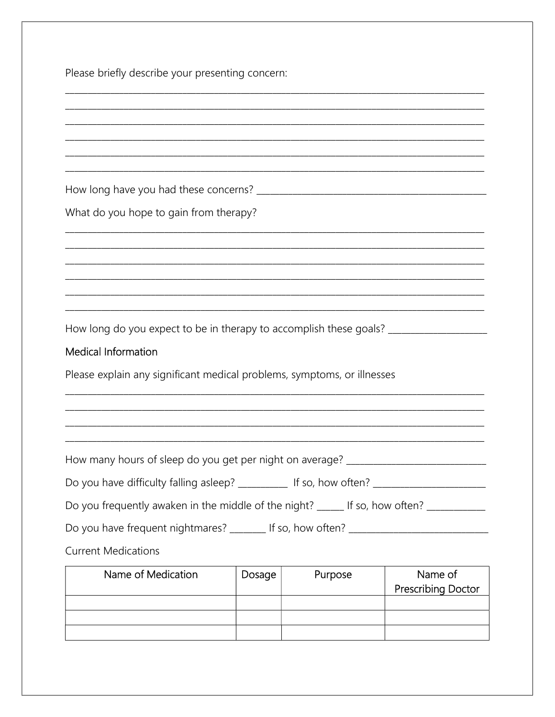Please briefly describe your presenting concern:

| What do you hope to gain from therapy?                                                               |        |         |                           |
|------------------------------------------------------------------------------------------------------|--------|---------|---------------------------|
|                                                                                                      |        |         |                           |
|                                                                                                      |        |         |                           |
|                                                                                                      |        |         |                           |
|                                                                                                      |        |         |                           |
|                                                                                                      |        |         |                           |
| How long do you expect to be in therapy to accomplish these goals? ___________________               |        |         |                           |
| <b>Medical Information</b>                                                                           |        |         |                           |
| Please explain any significant medical problems, symptoms, or illnesses                              |        |         |                           |
|                                                                                                      |        |         |                           |
|                                                                                                      |        |         |                           |
|                                                                                                      |        |         |                           |
| How many hours of sleep do you get per night on average? _______________________                     |        |         |                           |
| Do you have difficulty falling asleep? ___________ If so, how often? _______________________________ |        |         |                           |
| Do you frequently awaken in the middle of the night? _____ If so, how often? _________               |        |         |                           |
| Do you have frequent nightmares? ________ If so, how often? ____________________                     |        |         |                           |
| <b>Current Medications</b>                                                                           |        |         |                           |
| Name of Medication                                                                                   | Dosage | Purpose | Name of                   |
|                                                                                                      |        |         | <b>Prescribing Doctor</b> |
|                                                                                                      |        |         |                           |
|                                                                                                      |        |         |                           |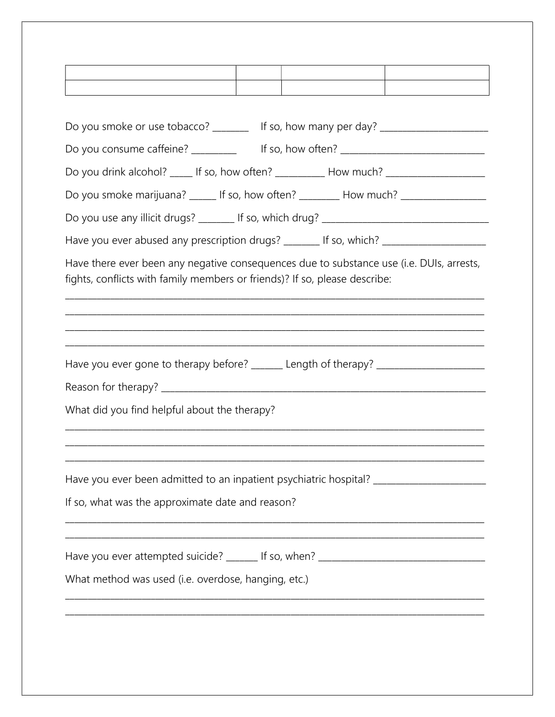|                                                                                                  | Do you smoke or use tobacco? ________ If so, how many per day? _________________                                                                                       |
|--------------------------------------------------------------------------------------------------|------------------------------------------------------------------------------------------------------------------------------------------------------------------------|
|                                                                                                  | Do you consume caffeine? ___________ If so, how often? _________________________                                                                                       |
|                                                                                                  | Do you drink alcohol? _____ If so, how often? ___________ How much? _____________                                                                                      |
|                                                                                                  | Do you smoke marijuana? ______ If so, how often? _________ How much? ____________                                                                                      |
|                                                                                                  |                                                                                                                                                                        |
|                                                                                                  | Have you ever abused any prescription drugs? _______ If so, which? ______________                                                                                      |
|                                                                                                  | Have there ever been any negative consequences due to substance use (i.e. DUIs, arrests,<br>fights, conflicts with family members or friends)? If so, please describe: |
|                                                                                                  |                                                                                                                                                                        |
|                                                                                                  | Have you ever gone to therapy before? ______ Length of therapy? ________________                                                                                       |
|                                                                                                  |                                                                                                                                                                        |
|                                                                                                  |                                                                                                                                                                        |
|                                                                                                  | Have you ever been admitted to an inpatient psychiatric hospital? _______________                                                                                      |
|                                                                                                  |                                                                                                                                                                        |
| What did you find helpful about the therapy?<br>If so, what was the approximate date and reason? | Have you ever attempted suicide? ______ If so, when? ____________________________                                                                                      |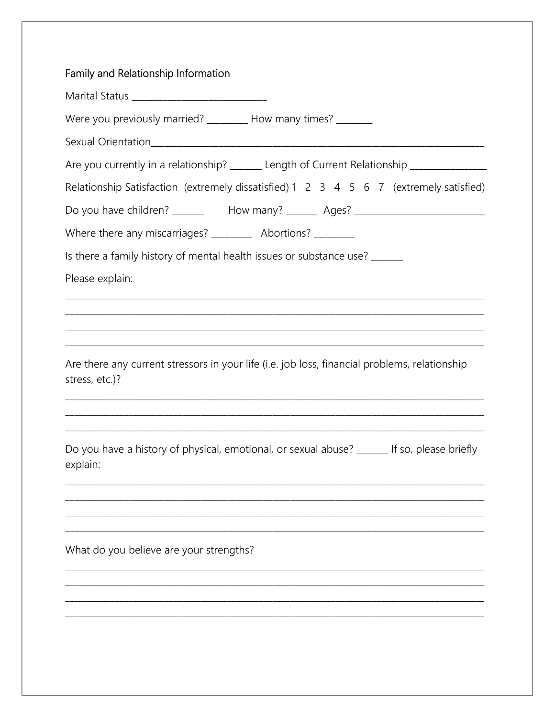| Family and Relationship Information |                                                                                               |
|-------------------------------------|-----------------------------------------------------------------------------------------------|
|                                     |                                                                                               |
|                                     | Were you previously married? ________ How many times? ______                                  |
|                                     |                                                                                               |
|                                     | Are you currently in a relationship? ______ Length of Current Relationship ____________       |
|                                     | Relationship Satisfaction (extremely dissatisfied) 1 2 3 4 5 6 7 (extremely satisfied)        |
|                                     | Do you have children? _____________How many? _________ Ages? ____________________             |
|                                     | Where there any miscarriages? ___________ Abortions? _________                                |
|                                     | Is there a family history of mental health issues or substance use? ______                    |
| Please explain:                     |                                                                                               |
|                                     |                                                                                               |
|                                     |                                                                                               |
|                                     |                                                                                               |
|                                     | Are there any current stressors in your life (i.e. job loss, financial problems, relationship |
| stress, etc.)?                      |                                                                                               |
|                                     |                                                                                               |
|                                     |                                                                                               |
|                                     | Do you have a history of physical, emotional, or sexual abuse? ______ If so, please briefly   |
| explain:                            |                                                                                               |
|                                     |                                                                                               |
|                                     |                                                                                               |
|                                     |                                                                                               |
|                                     | What do you believe are your strengths?                                                       |
|                                     |                                                                                               |
|                                     |                                                                                               |
|                                     |                                                                                               |